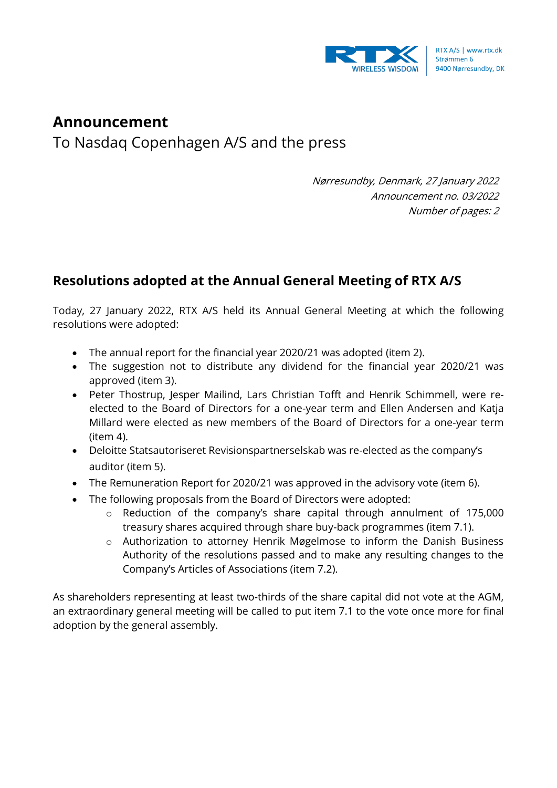

## **Announcement**

To Nasdaq Copenhagen A/S and the press

Nørresundby, Denmark, 27 January 2022 Announcement no. 03/2022 Number of pages: 2

## **Resolutions adopted at the Annual General Meeting of RTX A/S**

Today, 27 January 2022, RTX A/S held its Annual General Meeting at which the following resolutions were adopted:

- The annual report for the financial year 2020/21 was adopted (item 2).
- The suggestion not to distribute any dividend for the financial year 2020/21 was approved (item 3).
- Peter Thostrup, Jesper Mailind, Lars Christian Tofft and Henrik Schimmell, were reelected to the Board of Directors for a one-year term and Ellen Andersen and Katja Millard were elected as new members of the Board of Directors for a one-year term (item 4).
- Deloitte Statsautoriseret Revisionspartnerselskab was re-elected as the company's auditor (item 5).
- The Remuneration Report for 2020/21 was approved in the advisory vote (item 6).
- The following proposals from the Board of Directors were adopted:
	- o Reduction of the company's share capital through annulment of 175,000 treasury shares acquired through share buy-back programmes (item 7.1).
	- o Authorization to attorney Henrik Møgelmose to inform the Danish Business Authority of the resolutions passed and to make any resulting changes to the Company's Articles of Associations (item 7.2).

As shareholders representing at least two-thirds of the share capital did not vote at the AGM, an extraordinary general meeting will be called to put item 7.1 to the vote once more for final adoption by the general assembly.